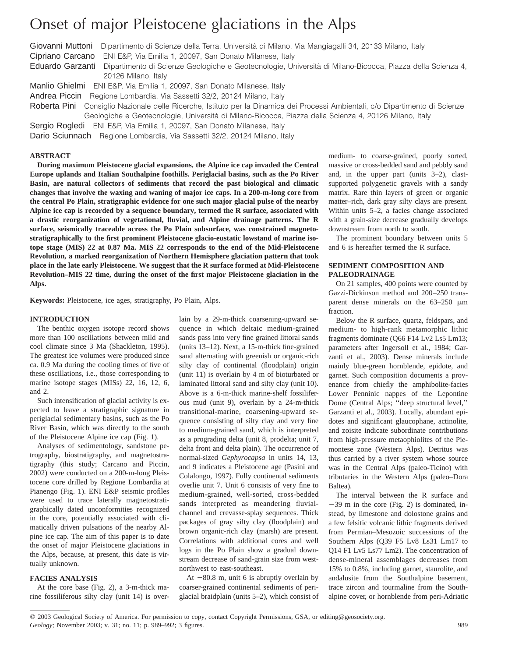# Onset of major Pleistocene glaciations in the Alps

Giovanni Muttoni Dipartimento di Scienze della Terra, Università di Milano, Via Mangiagalli 34, 20133 Milano, Italy Cipriano Carcano ENI E&P, Via Emilia 1, 20097, San Donato Milanese, Italy

Eduardo Garzanti Dipartimento di Scienze Geologiche e Geotecnologie, Università di Milano-Bicocca, Piazza della Scienza 4, 20126 Milano, Italy

Manlio Ghielmi ENI E&P, Via Emilia 1, 20097, San Donato Milanese, Italy

Andrea Piccin Regione Lombardia, Via Sassetti 32/2, 20124 Milano, Italy

Roberta Pini Consiglio Nazionale delle Ricerche, Istituto per la Dinamica dei Processi Ambientali, c/o Dipartimento di Scienze Geologiche e Geotecnologie, Università di Milano-Bicocca, Piazza della Scienza 4, 20126 Milano, Italy

Sergio Rogledi ENI E&P, Via Emilia 1, 20097, San Donato Milanese, Italy

Dario Sciunnach Regione Lombardia, Via Sassetti 32/2, 20124 Milano, Italy

## **ABSTRACT**

**During maximum Pleistocene glacial expansions, the Alpine ice cap invaded the Central Europe uplands and Italian Southalpine foothills. Periglacial basins, such as the Po River Basin, are natural collectors of sediments that record the past biological and climatic changes that involve the waxing and waning of major ice caps. In a 200-m-long core from the central Po Plain, stratigraphic evidence for one such major glacial pulse of the nearby Alpine ice cap is recorded by a sequence boundary, termed the R surface, associated with a drastic reorganization of vegetational, fluvial, and Alpine drainage patterns. The R surface, seismically traceable across the Po Plain subsurface, was constrained magnetostratigraphically to the first prominent Pleistocene glacio-eustatic lowstand of marine isotope stage (MIS) 22 at 0.87 Ma. MIS 22 corresponds to the end of the Mid-Pleistocene Revolution, a marked reorganization of Northern Hemisphere glaciation pattern that took place in the late early Pleistocene. We suggest that the R surface formed at Mid-Pleistocene Revolution–MIS 22 time, during the onset of the first major Pleistocene glaciation in the Alps.**

**Keywords:** Pleistocene, ice ages, stratigraphy, Po Plain, Alps.

#### **INTRODUCTION**

The benthic oxygen isotope record shows more than 100 oscillations between mild and cool climate since 3 Ma (Shackleton, 1995). The greatest ice volumes were produced since ca. 0.9 Ma during the cooling times of five of these oscillations, i.e., those corresponding to marine isotope stages (MISs) 22, 16, 12, 6, and 2.

Such intensification of glacial activity is expected to leave a stratigraphic signature in periglacial sedimentary basins, such as the Po River Basin, which was directly to the south of the Pleistocene Alpine ice cap (Fig. 1).

Analyses of sedimentology, sandstone petrography, biostratigraphy, and magnetostratigraphy (this study; Carcano and Piccin, 2002) were conducted on a 200-m-long Pleistocene core drilled by Regione Lombardia at Pianengo (Fig. 1). ENI E&P seismic profiles were used to trace laterally magnetostratigraphically dated unconformities recognized in the core, potentially associated with climatically driven pulsations of the nearby Alpine ice cap. The aim of this paper is to date the onset of major Pleistocene glaciations in the Alps, because, at present, this date is virtually unknown.

# **FACIES ANALYSIS**

At the core base (Fig. 2), a 3-m-thick marine fossiliferous silty clay (unit 14) is over-

lain by a 29-m-thick coarsening-upward sequence in which deltaic medium-grained sands pass into very fine grained littoral sands (units 13–12). Next, a 15-m-thick fine-grained sand alternating with greenish or organic-rich silty clay of continental (floodplain) origin (unit 11) is overlain by 4 m of bioturbated or laminated littoral sand and silty clay (unit 10). Above is a 6-m-thick marine-shelf fossiliferous mud (unit 9), overlain by a 24-m-thick transitional-marine, coarsening-upward sequence consisting of silty clay and very fine to medium-grained sand, which is interpreted as a prograding delta (unit 8, prodelta; unit 7, delta front and delta plain). The occurrence of normal-sized *Gephyrocapsa* in units 14, 13, and 9 indicates a Pleistocene age (Pasini and Colalongo, 1997). Fully continental sediments overlie unit 7. Unit 6 consists of very fine to medium-grained, well-sorted, cross-bedded sands interpreted as meandering fluvialchannel and crevasse-splay sequences. Thick packages of gray silty clay (floodplain) and brown organic-rich clay (marsh) are present. Correlations with additional cores and well logs in the Po Plain show a gradual downstream decrease of sand-grain size from westnorthwest to east-southeast.

At  $-80.8$  m, unit 6 is abruptly overlain by coarser-grained continental sediments of periglacial braidplain (units 5–2), which consist of medium- to coarse-grained, poorly sorted, massive or cross-bedded sand and pebbly sand and, in the upper part (units 3–2), clastsupported polygenetic gravels with a sandy matrix. Rare thin layers of green or organic matter–rich, dark gray silty clays are present. Within units 5–2, a facies change associated with a grain-size decrease gradually develops downstream from north to south.

The prominent boundary between units 5 and 6 is hereafter termed the R surface.

## **SEDIMENT COMPOSITION AND PALEODRAINAGE**

On 21 samples, 400 points were counted by Gazzi-Dickinson method and 200–250 transparent dense minerals on the  $63-250 \mu m$ fraction.

Below the R surface, quartz, feldspars, and medium- to high-rank metamorphic lithic fragments dominate (Q66 F14 Lv2 Ls5 Lm13; parameters after Ingersoll et al., 1984; Garzanti et al., 2003). Dense minerals include mainly blue-green hornblende, epidote, and garnet. Such composition documents a provenance from chiefly the amphibolite-facies Lower Penninic nappes of the Lepontine Dome (Central Alps; ''deep structural level,'' Garzanti et al., 2003). Locally, abundant epidotes and significant glaucophane, actinolite, and zoisite indicate subordinate contributions from high-pressure metaophiolites of the Piemontese zone (Western Alps). Detritus was thus carried by a river system whose source was in the Central Alps (paleo-Ticino) with tributaries in the Western Alps (paleo–Dora Baltea).

The interval between the R surface and  $-39$  m in the core (Fig. 2) is dominated, instead, by limestone and dolostone grains and a few felsitic volcanic lithic fragments derived from Permian–Mesozoic successions of the Southern Alps (Q39 F5 Lv8 Ls31 Lm17 to Q14 F1 Lv5 Ls77 Lm2). The concentration of dense-mineral assemblages decreases from 15% to 0.8%, including garnet, staurolite, and andalusite from the Southalpine basement, trace zircon and tourmaline from the Southalpine cover, or hornblende from peri-Adriatic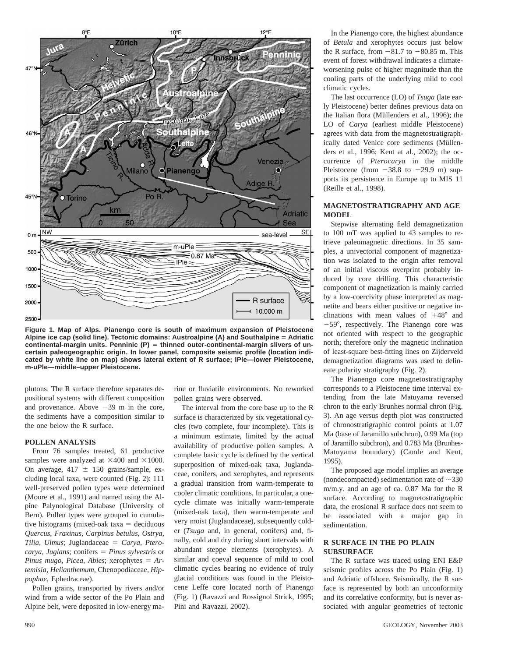

**Figure 1. Map of Alps. Pianengo core is south of maximum expansion of Pleistocene** Alpine ice cap (solid line). Tectonic domains: Austroalpine (A) and Southalpine = Adriatic continental-margin units. Penninic (P) = thinned outer-continental-margin slivers of un**certain paleogeographic origin. In lower panel, composite seismic profile (location indicated by white line on map) shows lateral extent of R surface; lPle—lower Pleistocene, m-uPle—middle–upper Pleistocene.**

plutons. The R surface therefore separates depositional systems with different composition and provenance. Above  $-39$  m in the core, the sediments have a composition similar to the one below the R surface.

#### **POLLEN ANALYSIS**

From 76 samples treated, 61 productive samples were analyzed at  $\times 400$  and  $\times 1000$ . On average,  $417 \pm 150$  grains/sample, excluding local taxa, were counted (Fig. 2): 111 well-preserved pollen types were determined (Moore et al., 1991) and named using the Alpine Palynological Database (University of Bern). Pollen types were grouped in cumulative histograms (mixed-oak taxa  $=$  deciduous *Quercus*, *Fraxinus*, *Carpinus betulus*, *Ostrya*,  $Tilia, Ulmus; Juglandaceae = Carya, Ptero$ *carya*, *Juglans*; conifers = *Pinus sylvestris* or *Pinus mugo, Picea, Abies*; xerophytes  $= Ar$ *temisia*, *Helianthemum*, Chenopodiaceae, *Hippophae*, Ephedraceae).

Pollen grains, transported by rivers and/or wind from a wide sector of the Po Plain and Alpine belt, were deposited in low-energy marine or fluviatile environments. No reworked pollen grains were observed.

The interval from the core base up to the R surface is characterized by six vegetational cycles (two complete, four incomplete). This is a minimum estimate, limited by the actual availability of productive pollen samples. A complete basic cycle is defined by the vertical superposition of mixed-oak taxa, Juglandaceae, conifers, and xerophytes, and represents a gradual transition from warm-temperate to cooler climatic conditions. In particular, a onecycle climate was initially warm-temperate (mixed-oak taxa), then warm-temperate and very moist (Juglandaceae), subsequently colder (*Tsuga* and, in general, conifers) and, finally, cold and dry during short intervals with abundant steppe elements (xerophytes). A similar and coeval sequence of mild to cool climatic cycles bearing no evidence of truly glacial conditions was found in the Pleistocene Leffe core located north of Pianengo (Fig. 1) (Ravazzi and Rossignol Strick, 1995; Pini and Ravazzi, 2002).

In the Pianengo core, the highest abundance of *Betula* and xerophytes occurs just below the R surface, from  $-81.7$  to  $-80.85$  m. This event of forest withdrawal indicates a climateworsening pulse of higher magnitude than the cooling parts of the underlying mild to cool climatic cycles.

The last occurrence (LO) of *Tsuga* (late early Pleistocene) better defines previous data on the Italian flora (Müllenders et al., 1996); the LO of *Carya* (earliest middle Pleistocene) agrees with data from the magnetostratigraphically dated Venice core sediments (Müllenders et al., 1996; Kent at al., 2002); the occurrence of *Pterocarya* in the middle Pleistocene (from  $-38.8$  to  $-29.9$  m) supports its persistence in Europe up to MIS 11 (Reille et al., 1998).

#### **MAGNETOSTRATIGRAPHY AND AGE MODEL**

Stepwise alternating field demagnetization to 100 mT was applied to 43 samples to retrieve paleomagnetic directions. In 35 samples, a univectorial component of magnetization was isolated to the origin after removal of an initial viscous overprint probably induced by core drilling. This characteristic component of magnetization is mainly carried by a low-coercivity phase interpreted as magnetite and bears either positive or negative inclinations with mean values of  $+48^{\circ}$  and -59°, respectively. The Pianengo core was not oriented with respect to the geographic north; therefore only the magnetic inclination of least-square best-fitting lines on Zijderveld demagnetization diagrams was used to delineate polarity stratigraphy (Fig. 2).

The Pianengo core magnetostratigraphy corresponds to a Pleistocene time interval extending from the late Matuyama reversed chron to the early Brunhes normal chron (Fig. 3). An age versus depth plot was constructed of chronostratigraphic control points at 1.07 Ma (base of Jaramillo subchron), 0.99 Ma (top of Jaramillo subchron), and 0.783 Ma (Brunhes-Matuyama boundary) (Cande and Kent, 1995).

The proposed age model implies an average (nondecompacted) sedimentation rate of  $\sim$ 330 m/m.y. and an age of ca. 0.87 Ma for the R surface. According to magnetostratigraphic data, the erosional R surface does not seem to be associated with a major gap in sedimentation.

# **R SURFACE IN THE PO PLAIN SUBSURFACE**

The R surface was traced using ENI E&P seismic profiles across the Po Plain (Fig. 1) and Adriatic offshore. Seismically, the R surface is represented by both an unconformity and its correlative conformity, but is never associated with angular geometries of tectonic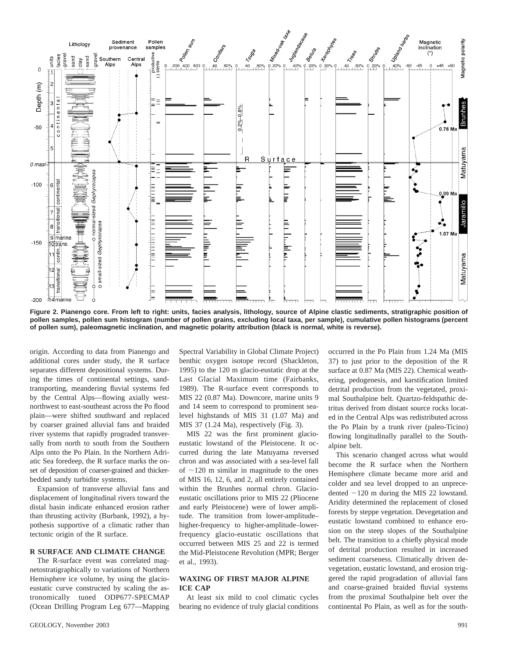

**Figure 2. Pianengo core. From left to right: units, facies analysis, lithology, source of Alpine clastic sediments, stratigraphic position of pollen samples, pollen sum histogram (number of pollen grains, excluding local taxa, per sample), cumulative pollen histograms (percent of pollen sum), paleomagnetic inclination, and magnetic polarity attribution (black is normal, white is reverse).**

origin. According to data from Pianengo and additional cores under study, the R surface separates different depositional systems. During the times of continental settings, sandtransporting, meandering fluvial systems fed by the Central Alps—flowing axially westnorthwest to east-southeast across the Po flood plain—were shifted southward and replaced by coarser grained alluvial fans and braided river systems that rapidly prograded transversally from north to south from the Southern Alps onto the Po Plain. In the Northern Adriatic Sea foredeep, the R surface marks the onset of deposition of coarser-grained and thickerbedded sandy turbidite systems.

Expansion of transverse alluvial fans and displacement of longitudinal rivers toward the distal basin indicate enhanced erosion rather than thrusting activity (Burbank, 1992), a hypothesis supportive of a climatic rather than tectonic origin of the R surface.

## **R SURFACE AND CLIMATE CHANGE**

The R-surface event was correlated magnetostratigraphically to variations of Northern Hemisphere ice volume, by using the glacioeustatic curve constructed by scaling the astronomically tuned ODP677-SPECMAP (Ocean Drilling Program Leg 677—Mapping Spectral Variability in Global Climate Project) benthic oxygen isotope record (Shackleton, 1995) to the 120 m glacio-eustatic drop at the Last Glacial Maximum time (Fairbanks, 1989). The R-surface event corresponds to MIS 22 (0.87 Ma). Downcore, marine units 9 and 14 seem to correspond to prominent sealevel highstands of MIS 31 (1.07 Ma) and MIS 37 (1.24 Ma), respectively (Fig. 3).

MIS 22 was the first prominent glacioeustatic lowstand of the Pleistocene. It occurred during the late Matuyama reversed chron and was associated with a sea-level fall of  $\sim$ 120 m similar in magnitude to the ones of MIS 16, 12, 6, and 2, all entirely contained within the Brunhes normal chron. Glacioeustatic oscillations prior to MIS 22 (Pliocene and early Pleistocene) were of lower amplitude. The transition from lower-amplitude– higher-frequency to higher-amplitude–lowerfrequency glacio-eustatic oscillations that occurred between MIS 25 and 22 is termed the Mid-Pleistocene Revolution (MPR; Berger et al., 1993).

#### **WAXING OF FIRST MAJOR ALPINE ICE CAP**

At least six mild to cool climatic cycles bearing no evidence of truly glacial conditions occurred in the Po Plain from 1.24 Ma (MIS 37) to just prior to the deposition of the R surface at 0.87 Ma (MIS 22). Chemical weathering, pedogenesis, and karstification limited detrital production from the vegetated, proximal Southalpine belt. Quartzo-feldspathic detritus derived from distant source rocks located in the Central Alps was redistributed across the Po Plain by a trunk river (paleo-Ticino) flowing longitudinally parallel to the Southalpine belt.

This scenario changed across what would become the R surface when the Northern Hemisphere climate became more arid and colder and sea level dropped to an unprecedented  $-120$  m during the MIS 22 lowstand. Aridity determined the replacement of closed forests by steppe vegetation. Devegetation and eustatic lowstand combined to enhance erosion on the steep slopes of the Southalpine belt. The transition to a chiefly physical mode of detrital production resulted in increased sediment coarseness. Climatically driven devegetation, eustatic lowstand, and erosion triggered the rapid progradation of alluvial fans and coarse-grained braided fluvial systems from the proximal Southalpine belt over the continental Po Plain, as well as for the south-